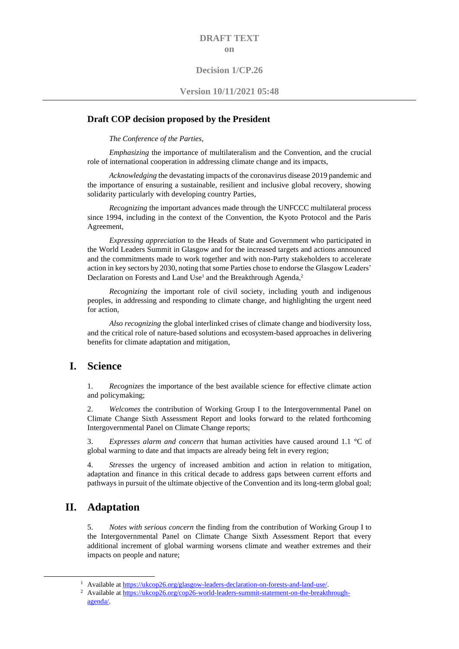#### **DRAFT TEXT on**

#### **Decision 1/CP.26**

#### **Version 10/11/2021 05:48**

#### **Draft COP decision proposed by the President**

*The Conference of the Parties*,

*Emphasizing* the importance of multilateralism and the Convention, and the crucial role of international cooperation in addressing climate change and its impacts,

*Acknowledging* the devastating impacts of the coronavirus disease 2019 pandemic and the importance of ensuring a sustainable, resilient and inclusive global recovery, showing solidarity particularly with developing country Parties,

*Recognizing* the important advances made through the UNFCCC multilateral process since 1994, including in the context of the Convention, the Kyoto Protocol and the Paris Agreement,

*Expressing appreciation* to the Heads of State and Government who participated in the World Leaders Summit in Glasgow and for the increased targets and actions announced and the commitments made to work together and with non-Party stakeholders to accelerate action in key sectors by 2030, noting that some Parties chose to endorse the Glasgow Leaders' Declaration on Forests and Land Use<sup>1</sup> and the Breakthrough Agenda,<sup>2</sup>

*Recognizing* the important role of civil society, including youth and indigenous peoples, in addressing and responding to climate change, and highlighting the urgent need for action,

*Also recognizing* the global interlinked crises of climate change and biodiversity loss, and the critical role of nature-based solutions and ecosystem-based approaches in delivering benefits for climate adaptation and mitigation,

#### **I. Science**

1. *Recognizes* the importance of the best available science for effective climate action and policymaking;

2. *Welcomes* the contribution of Working Group I to the Intergovernmental Panel on Climate Change Sixth Assessment Report and looks forward to the related forthcoming Intergovernmental Panel on Climate Change reports;

3. *Expresses alarm and concern* that human activities have caused around 1.1 °C of global warming to date and that impacts are already being felt in every region;

4. *Stresses* the urgency of increased ambition and action in relation to mitigation, adaptation and finance in this critical decade to address gaps between current efforts and pathways in pursuit of the ultimate objective of the Convention and its long-term global goal;

### **II. Adaptation**

5. *Notes with serious concern* the finding from the contribution of Working Group I to the Intergovernmental Panel on Climate Change Sixth Assessment Report that every additional increment of global warming worsens climate and weather extremes and their impacts on people and nature;

<sup>&</sup>lt;sup>1</sup> Available at https://ukcop26.org/glasgow-leaders-declaration-on-forests-and-land-use/.

<sup>&</sup>lt;sup>2</sup> Available a[t https://ukcop26.org/cop26-world-leaders-summit-statement-on-the-breakthrough](https://ukcop26.org/cop26-world-leaders-summit-statement-on-the-breakthrough-agenda/)[agenda/.](https://ukcop26.org/cop26-world-leaders-summit-statement-on-the-breakthrough-agenda/)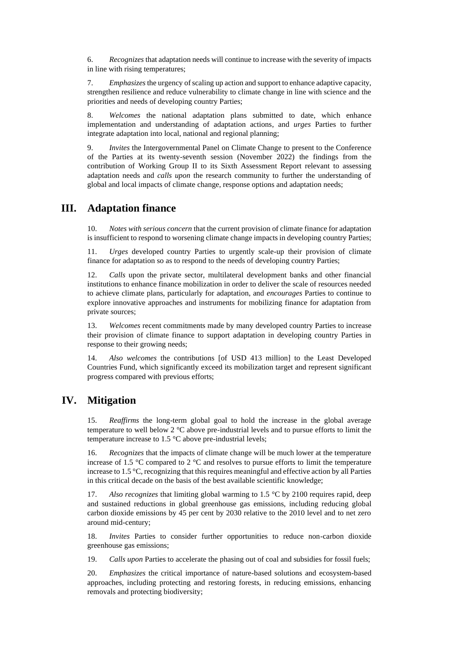6. *Recognizes* that adaptation needs will continue to increase with the severity of impacts in line with rising temperatures;

7. *Emphasizes* the urgency of scaling up action and support to enhance adaptive capacity, strengthen resilience and reduce vulnerability to climate change in line with science and the priorities and needs of developing country Parties;

8. *Welcomes* the national adaptation plans submitted to date, which enhance implementation and understanding of adaptation actions, and *urges* Parties to further integrate adaptation into local, national and regional planning;

9. *Invites* the Intergovernmental Panel on Climate Change to present to the Conference of the Parties at its twenty-seventh session (November 2022) the findings from the contribution of Working Group II to its Sixth Assessment Report relevant to assessing adaptation needs and *calls upon* the research community to further the understanding of global and local impacts of climate change, response options and adaptation needs;

### **III. Adaptation finance**

10. *Notes with serious concern* that the current provision of climate finance for adaptation is insufficient to respond to worsening climate change impacts in developing country Parties;

11. *Urges* developed country Parties to urgently scale-up their provision of climate finance for adaptation so as to respond to the needs of developing country Parties;

12. *Calls* upon the private sector, multilateral development banks and other financial institutions to enhance finance mobilization in order to deliver the scale of resources needed to achieve climate plans, particularly for adaptation, and *encourages* Parties to continue to explore innovative approaches and instruments for mobilizing finance for adaptation from private sources;

13. *Welcomes* recent commitments made by many developed country Parties to increase their provision of climate finance to support adaptation in developing country Parties in response to their growing needs;

14. *Also welcomes* the contributions [of USD 413 million] to the Least Developed Countries Fund, which significantly exceed its mobilization target and represent significant progress compared with previous efforts;

### **IV. Mitigation**

15. *Reaffirms* the long-term global goal to hold the increase in the global average temperature to well below 2 °C above pre-industrial levels and to pursue efforts to limit the temperature increase to 1.5 °C above pre-industrial levels;

16. *Recognizes* that the impacts of climate change will be much lower at the temperature increase of 1.5  $^{\circ}$ C compared to 2  $^{\circ}$ C and resolves to pursue efforts to limit the temperature increase to 1.5 °C, recognizing that this requires meaningful and effective action by all Parties in this critical decade on the basis of the best available scientific knowledge;

17. *Also recognizes* that limiting global warming to 1.5 °C by 2100 requires rapid, deep and sustained reductions in global greenhouse gas emissions, including reducing global carbon dioxide emissions by 45 per cent by 2030 relative to the 2010 level and to net zero around mid-century;

18. *Invites* Parties to consider further opportunities to reduce non-carbon dioxide greenhouse gas emissions;

19. *Calls upon* Parties to accelerate the phasing out of coal and subsidies for fossil fuels;

20. *Emphasizes* the critical importance of nature-based solutions and ecosystem-based approaches, including protecting and restoring forests, in reducing emissions, enhancing removals and protecting biodiversity;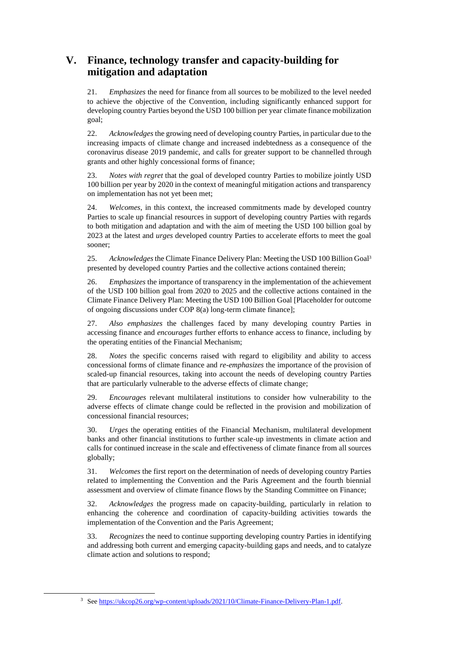# **V. Finance, technology transfer and capacity-building for mitigation and adaptation**

21. *Emphasizes* the need for finance from all sources to be mobilized to the level needed to achieve the objective of the Convention, including significantly enhanced support for developing country Parties beyond the USD 100 billion per year climate finance mobilization goal;

22. *Acknowledges* the growing need of developing country Parties, in particular due to the increasing impacts of climate change and increased indebtedness as a consequence of the coronavirus disease 2019 pandemic, and calls for greater support to be channelled through grants and other highly concessional forms of finance;

23. *Notes with regret* that the goal of developed country Parties to mobilize jointly USD 100 billion per year by 2020 in the context of meaningful mitigation actions and transparency on implementation has not yet been met;

24. *Welcomes*, in this context, the increased commitments made by developed country Parties to scale up financial resources in support of developing country Parties with regards to both mitigation and adaptation and with the aim of meeting the USD 100 billion goal by 2023 at the latest and *urges* developed country Parties to accelerate efforts to meet the goal sooner;

25. *Acknowledges* the Climate Finance Delivery Plan: Meeting the USD 100 Billion Goal<sup>3</sup> presented by developed country Parties and the collective actions contained therein;

26. *Emphasizes* the importance of transparency in the implementation of the achievement of the USD 100 billion goal from 2020 to 2025 and the collective actions contained in the Climate Finance Delivery Plan: Meeting the USD 100 Billion Goal [Placeholder for outcome of ongoing discussions under COP 8(a) long-term climate finance];

27. *Also emphasizes* the challenges faced by many developing country Parties in accessing finance and *encourages* further efforts to enhance access to finance, including by the operating entities of the Financial Mechanism;

28. *Notes* the specific concerns raised with regard to eligibility and ability to access concessional forms of climate finance and *re-emphasizes* the importance of the provision of scaled-up financial resources, taking into account the needs of developing country Parties that are particularly vulnerable to the adverse effects of climate change;

29. *Encourages* relevant multilateral institutions to consider how vulnerability to the adverse effects of climate change could be reflected in the provision and mobilization of concessional financial resources;

30. *Urges* the operating entities of the Financial Mechanism, multilateral development banks and other financial institutions to further scale-up investments in climate action and calls for continued increase in the scale and effectiveness of climate finance from all sources globally;

31. *Welcomes* the first report on the determination of needs of developing country Parties related to implementing the Convention and the Paris Agreement and the fourth biennial assessment and overview of climate finance flows by the Standing Committee on Finance;

32. *Acknowledges* the progress made on capacity-building, particularly in relation to enhancing the coherence and coordination of capacity-building activities towards the implementation of the Convention and the Paris Agreement;

33. *Recognizes* the need to continue supporting developing country Parties in identifying and addressing both current and emerging capacity-building gaps and needs, and to catalyze climate action and solutions to respond;

<sup>3</sup> See [https://ukcop26.org/wp-content/uploads/2021/10/Climate-Finance-Delivery-Plan-1.pdf.](https://ukcop26.org/wp-content/uploads/2021/10/Climate-Finance-Delivery-Plan-1.pdf)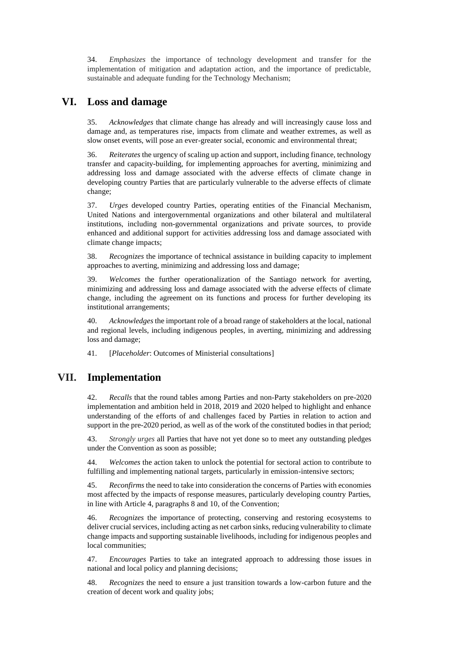34. *Emphasizes* the importance of technology development and transfer for the implementation of mitigation and adaptation action, and the importance of predictable, sustainable and adequate funding for the Technology Mechanism;

### **VI. Loss and damage**

35. *Acknowledges* that climate change has already and will increasingly cause loss and damage and, as temperatures rise, impacts from climate and weather extremes, as well as slow onset events, will pose an ever-greater social, economic and environmental threat;

36. *Reiterates* the urgency of scaling up action and support, including finance, technology transfer and capacity-building, for implementing approaches for averting, minimizing and addressing loss and damage associated with the adverse effects of climate change in developing country Parties that are particularly vulnerable to the adverse effects of climate change;

37. *Urges* developed country Parties, operating entities of the Financial Mechanism, United Nations and intergovernmental organizations and other bilateral and multilateral institutions, including non-governmental organizations and private sources, to provide enhanced and additional support for activities addressing loss and damage associated with climate change impacts;

38. *Recognizes* the importance of technical assistance in building capacity to implement approaches to averting, minimizing and addressing loss and damage;

39. *Welcomes* the further operationalization of the Santiago network for averting, minimizing and addressing loss and damage associated with the adverse effects of climate change, including the agreement on its functions and process for further developing its institutional arrangements;

40. *Acknowledges* the important role of a broad range of stakeholders at the local, national and regional levels, including indigenous peoples, in averting, minimizing and addressing loss and damage;

41. [*Placeholder*: Outcomes of Ministerial consultations]

## **VII. Implementation**

42. *Recalls* that the round tables among Parties and non-Party stakeholders on pre-2020 implementation and ambition held in 2018, 2019 and 2020 helped to highlight and enhance understanding of the efforts of and challenges faced by Parties in relation to action and support in the pre-2020 period, as well as of the work of the constituted bodies in that period;

43. *Strongly urges* all Parties that have not yet done so to meet any outstanding pledges under the Convention as soon as possible;

44. *Welcomes* the action taken to unlock the potential for sectoral action to contribute to fulfilling and implementing national targets, particularly in emission-intensive sectors;

45. *Reconfirms* the need to take into consideration the concerns of Parties with economies most affected by the impacts of response measures, particularly developing country Parties, in line with Article 4, paragraphs 8 and 10, of the Convention;

46. *Recognizes* the importance of protecting, conserving and restoring ecosystems to deliver crucial services, including acting as net carbon sinks, reducing vulnerability to climate change impacts and supporting sustainable livelihoods, including for indigenous peoples and local communities;

47. *Encourages* Parties to take an integrated approach to addressing those issues in national and local policy and planning decisions;

48. *Recognizes* the need to ensure a just transition towards a low-carbon future and the creation of decent work and quality jobs;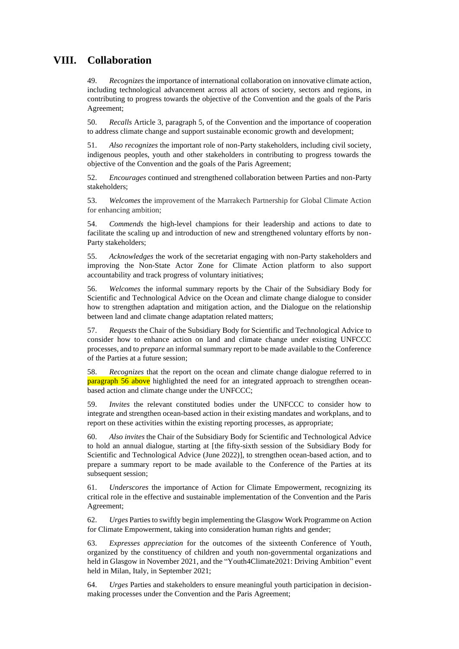# **VIII. Collaboration**

49. *Recognizes* the importance of international collaboration on innovative climate action, including technological advancement across all actors of society, sectors and regions, in contributing to progress towards the objective of the Convention and the goals of the Paris Agreement;

50. *Recalls* Article 3, paragraph 5, of the Convention and the importance of cooperation to address climate change and support sustainable economic growth and development;

51. *Also recognizes* the important role of non-Party stakeholders, including civil society, indigenous peoples, youth and other stakeholders in contributing to progress towards the objective of the Convention and the goals of the Paris Agreement;

52. *Encourages* continued and strengthened collaboration between Parties and non-Party stakeholders;

53. *Welcomes* the improvement of the Marrakech Partnership for Global Climate Action for enhancing ambition;

54. *Commends* the high-level champions for their leadership and actions to date to facilitate the scaling up and introduction of new and strengthened voluntary efforts by non-Party stakeholders;

55. *Acknowledges* the work of the secretariat engaging with non-Party stakeholders and improving the Non-State Actor Zone for Climate Action platform to also support accountability and track progress of voluntary initiatives;

<span id="page-4-0"></span>56. *Welcomes* the informal summary reports by the Chair of the Subsidiary Body for Scientific and Technological Advice on the Ocean and climate change dialogue to consider how to strengthen adaptation and mitigation action, and the Dialogue on the relationship between land and climate change adaptation related matters;

57. *Requests* the Chair of the Subsidiary Body for Scientific and Technological Advice to consider how to enhance action on land and climate change under existing UNFCCC processes, and to *prepare* an informal summary report to be made available to the Conference of the Parties at a future session;

58. *Recognizes* that the report on the ocean and climate change dialogue referred to in paragraph [56 above](#page-4-0) highlighted the need for an integrated approach to strengthen oceanbased action and climate change under the UNFCCC;

59. *Invites* the relevant constituted bodies under the UNFCCC to consider how to integrate and strengthen ocean-based action in their existing mandates and workplans, and to report on these activities within the existing reporting processes, as appropriate;

60. *Also invites* the Chair of the Subsidiary Body for Scientific and Technological Advice to hold an annual dialogue, starting at [the fifty-sixth session of the Subsidiary Body for Scientific and Technological Advice (June 2022)], to strengthen ocean-based action, and to prepare a summary report to be made available to the Conference of the Parties at its subsequent session;

61. *Underscores* the importance of Action for Climate Empowerment, recognizing its critical role in the effective and sustainable implementation of the Convention and the Paris Agreement;

62. *Urges* Partiesto swiftly begin implementing the Glasgow Work Programme on Action for Climate Empowerment, taking into consideration human rights and gender;

63. *Expresses appreciation* for the outcomes of the sixteenth Conference of Youth, organized by the constituency of children and youth non-governmental organizations and held in Glasgow in November 2021, and the "Youth4Climate2021: Driving Ambition" event held in Milan, Italy, in September 2021;

64. *Urges* Parties and stakeholders to ensure meaningful youth participation in decisionmaking processes under the Convention and the Paris Agreement;